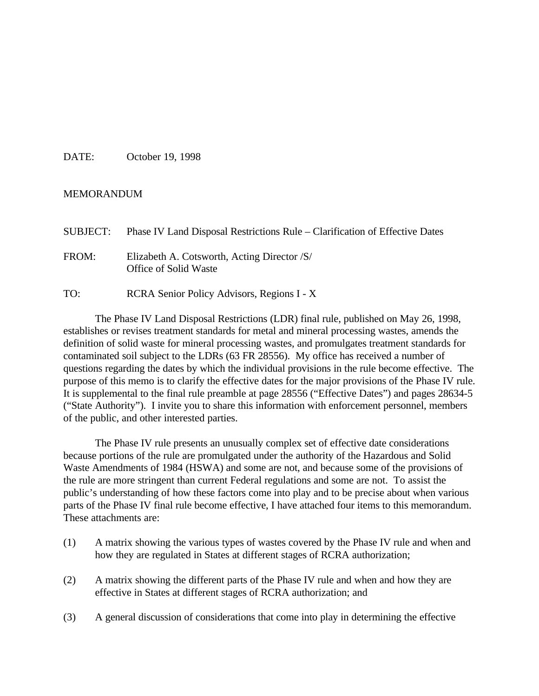DATE: October 19, 1998

#### MEMORANDUM

| SUBJECT: | Phase IV Land Disposal Restrictions Rule – Clarification of Effective Dates |
|----------|-----------------------------------------------------------------------------|
| FROM:    | Elizabeth A. Cotsworth, Acting Director /S/<br><b>Office of Solid Waste</b> |
| TO:      | RCRA Senior Policy Advisors, Regions I - X                                  |

The Phase IV Land Disposal Restrictions (LDR) final rule, published on May 26, 1998, establishes or revises treatment standards for metal and mineral processing wastes, amends the definition of solid waste for mineral processing wastes, and promulgates treatment standards for contaminated soil subject to the LDRs (63 FR 28556). My office has received a number of questions regarding the dates by which the individual provisions in the rule become effective. The purpose of this memo is to clarify the effective dates for the major provisions of the Phase IV rule. It is supplemental to the final rule preamble at page 28556 ("Effective Dates") and pages 28634-5 ("State Authority"). I invite you to share this information with enforcement personnel, members of the public, and other interested parties.

The Phase IV rule presents an unusually complex set of effective date considerations because portions of the rule are promulgated under the authority of the Hazardous and Solid Waste Amendments of 1984 (HSWA) and some are not, and because some of the provisions of the rule are more stringent than current Federal regulations and some are not. To assist the public's understanding of how these factors come into play and to be precise about when various parts of the Phase IV final rule become effective, I have attached four items to this memorandum. These attachments are:

- (1) A matrix showing the various types of wastes covered by the Phase IV rule and when and how they are regulated in States at different stages of RCRA authorization;
- (2) A matrix showing the different parts of the Phase IV rule and when and how they are effective in States at different stages of RCRA authorization; and
- (3) A general discussion of considerations that come into play in determining the effective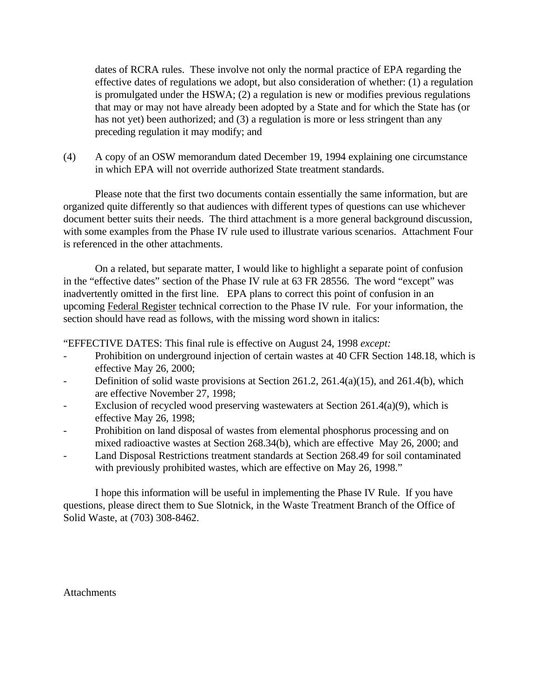dates of RCRA rules. These involve not only the normal practice of EPA regarding the effective dates of regulations we adopt, but also consideration of whether: (1) a regulation is promulgated under the HSWA; (2) a regulation is new or modifies previous regulations that may or may not have already been adopted by a State and for which the State has (or has not yet) been authorized; and (3) a regulation is more or less stringent than any preceding regulation it may modify; and

(4) A copy of an OSW memorandum dated December 19, 1994 explaining one circumstance in which EPA will not override authorized State treatment standards.

Please note that the first two documents contain essentially the same information, but are organized quite differently so that audiences with different types of questions can use whichever document better suits their needs. The third attachment is a more general background discussion, with some examples from the Phase IV rule used to illustrate various scenarios. Attachment Four is referenced in the other attachments.

On a related, but separate matter, I would like to highlight a separate point of confusion in the "effective dates" section of the Phase IV rule at 63 FR 28556. The word "except" was inadvertently omitted in the first line. EPA plans to correct this point of confusion in an upcoming Federal Register technical correction to the Phase IV rule. For your information, the section should have read as follows, with the missing word shown in italics:

"EFFECTIVE DATES: This final rule is effective on August 24, 1998 *except:*

- Prohibition on underground injection of certain wastes at 40 CFR Section 148.18, which is effective May 26, 2000;
- Definition of solid waste provisions at Section 261.2, 261.4(a)(15), and 261.4(b), which are effective November 27, 1998;
- Exclusion of recycled wood preserving wastewaters at Section  $261.4(a)(9)$ , which is effective May 26, 1998;
- Prohibition on land disposal of wastes from elemental phosphorus processing and on mixed radioactive wastes at Section 268.34(b), which are effective May 26, 2000; and
- Land Disposal Restrictions treatment standards at Section 268.49 for soil contaminated with previously prohibited wastes, which are effective on May 26, 1998."

I hope this information will be useful in implementing the Phase IV Rule. If you have questions, please direct them to Sue Slotnick, in the Waste Treatment Branch of the Office of Solid Waste, at (703) 308-8462.

**Attachments**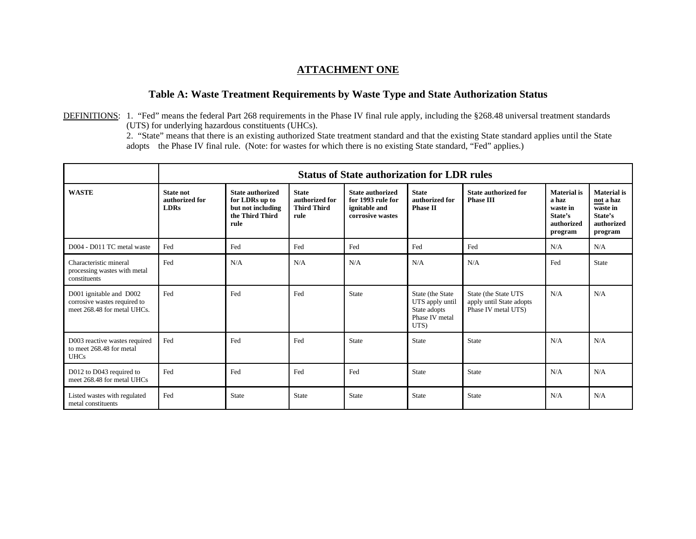#### **ATTACHMENT ONE**

#### **Table A: Waste Treatment Requirements by Waste Type and State Authorization Status**

DEFINITIONS: 1. "Fed" means the federal Part 268 requirements in the Phase IV final rule apply, including the §268.48 universal treatment standards (UTS) for underlying hazardous constituents (UHCs).

2. "State" means that there is an existing authorized State treatment standard and that the existing State standard applies until the State adopts the Phase IV final rule. (Note: for wastes for which there is no existing State standard, "Fed" applies.)

|                                                                                        |                                                   | <b>Status of State authorization for LDR rules</b>                                        |                                                              |                                                                                   |                                                                               |                                                                         |                                                                             |                                                                                 |
|----------------------------------------------------------------------------------------|---------------------------------------------------|-------------------------------------------------------------------------------------------|--------------------------------------------------------------|-----------------------------------------------------------------------------------|-------------------------------------------------------------------------------|-------------------------------------------------------------------------|-----------------------------------------------------------------------------|---------------------------------------------------------------------------------|
| <b>WASTE</b>                                                                           | <b>State not</b><br>authorized for<br><b>LDRs</b> | <b>State authorized</b><br>for LDRs up to<br>but not including<br>the Third Third<br>rule | <b>State</b><br>authorized for<br><b>Third Third</b><br>rule | <b>State authorized</b><br>for 1993 rule for<br>ignitable and<br>corrosive wastes | <b>State</b><br>authorized for<br><b>Phase II</b>                             | <b>State authorized for</b><br><b>Phase III</b>                         | <b>Material</b> is<br>a haz<br>waste in<br>State's<br>authorized<br>program | <b>Material</b> is<br>not a haz<br>waste in<br>State's<br>authorized<br>program |
| D004 - D011 TC metal waste                                                             | Fed                                               | Fed                                                                                       | Fed                                                          | Fed                                                                               | Fed                                                                           | Fed                                                                     | N/A                                                                         | N/A                                                                             |
| Characteristic mineral<br>processing wastes with metal<br>constituents                 | Fed                                               | N/A                                                                                       | N/A                                                          | N/A                                                                               | N/A                                                                           | N/A                                                                     | Fed                                                                         | <b>State</b>                                                                    |
| D001 ignitable and D002<br>corrosive wastes required to<br>meet 268.48 for metal UHCs. | Fed                                               | Fed                                                                                       | Fed                                                          | State                                                                             | State (the State<br>UTS apply until<br>State adopts<br>Phase IV metal<br>UTS) | State (the State UTS<br>apply until State adopts<br>Phase IV metal UTS) | N/A                                                                         | N/A                                                                             |
| D003 reactive wastes required<br>to meet 268.48 for metal<br><b>UHCs</b>               | Fed                                               | Fed                                                                                       | Fed                                                          | State                                                                             | State                                                                         | State                                                                   | N/A                                                                         | N/A                                                                             |
| D012 to D043 required to<br>meet 268.48 for metal UHCs                                 | Fed                                               | Fed                                                                                       | Fed                                                          | Fed                                                                               | State                                                                         | State                                                                   | N/A                                                                         | N/A                                                                             |
| Listed wastes with regulated<br>metal constituents                                     | Fed                                               | <b>State</b>                                                                              | State                                                        | <b>State</b>                                                                      | <b>State</b>                                                                  | State                                                                   | N/A                                                                         | N/A                                                                             |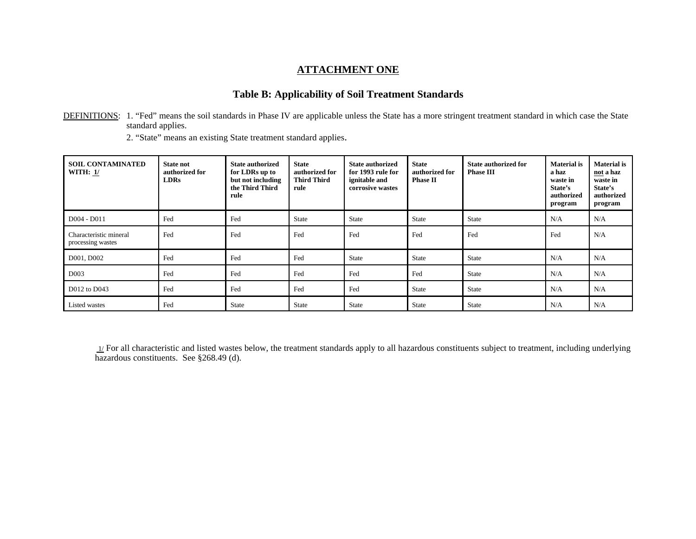#### **ATTACHMENT ONE**

### **Table B: Applicability of Soil Treatment Standards**

DEFINITIONS: 1. "Fed" means the soil standards in Phase IV are applicable unless the State has a more stringent treatment standard in which case the State standard applies.

2. "State" means an existing State treatment standard applies.

| <b>SOIL CONTAMINATED</b><br><b>WITH: 1/</b> | <b>State not</b><br>authorized for<br><b>LDRs</b> | <b>State authorized</b><br>for LDRs up to<br>but not including<br>the Third Third<br>rule | <b>State</b><br>authorized for<br><b>Third Third</b><br>rule | <b>State authorized</b><br>for 1993 rule for<br>ignitable and<br>corrosive wastes | <b>State</b><br>authorized for<br><b>Phase II</b> | <b>State authorized for</b><br><b>Phase III</b> | Material is<br>a haz<br>waste in<br>State's<br>authorized<br>program | <b>Material</b> is<br>not a haz<br>waste in<br>State's<br>authorized<br>program |
|---------------------------------------------|---------------------------------------------------|-------------------------------------------------------------------------------------------|--------------------------------------------------------------|-----------------------------------------------------------------------------------|---------------------------------------------------|-------------------------------------------------|----------------------------------------------------------------------|---------------------------------------------------------------------------------|
| $D004 - D011$                               | Fed                                               | Fed                                                                                       | State                                                        | State                                                                             | <b>State</b>                                      | <b>State</b>                                    | N/A                                                                  | N/A                                                                             |
| Characteristic mineral<br>processing wastes | Fed                                               | Fed                                                                                       | Fed                                                          | Fed                                                                               | Fed                                               | Fed                                             | Fed                                                                  | N/A                                                                             |
| D001, D002                                  | Fed                                               | Fed                                                                                       | Fed                                                          | State                                                                             | <b>State</b>                                      | <b>State</b>                                    | N/A                                                                  | N/A                                                                             |
| D <sub>003</sub>                            | Fed                                               | Fed                                                                                       | Fed                                                          | Fed                                                                               | Fed                                               | <b>State</b>                                    | N/A                                                                  | N/A                                                                             |
| D012 to D043                                | Fed                                               | Fed                                                                                       | Fed                                                          | Fed                                                                               | <b>State</b>                                      | <b>State</b>                                    | N/A                                                                  | N/A                                                                             |
| Listed wastes                               | Fed                                               | <b>State</b>                                                                              | <b>State</b>                                                 | State                                                                             | <b>State</b>                                      | <b>State</b>                                    | N/A                                                                  | N/A                                                                             |

1/ For all characteristic and listed wastes below, the treatment standards apply to all hazardous constituents subject to treatment, including underlying hazardous constituents. See §268.49 (d).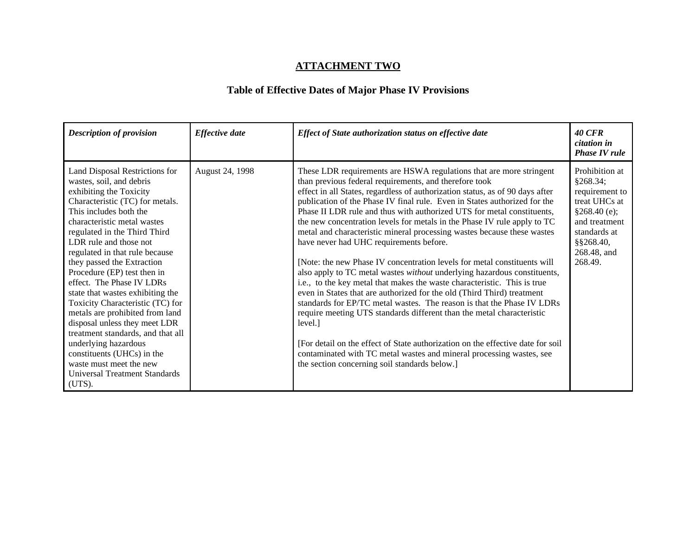| <b>Description of provision</b>                                                                                                                                                                                                                                                                                                                                                                                                                                                                                                                                                                                                                                                             | <b>Effective date</b> | Effect of State authorization status on effective date                                                                                                                                                                                                                                                                                                                                                                                                                                                                                                                                                                                                                                                                                                                                                                                                                                                                                                                                                                                                                                                                                                                                                                                                           | <i><b>40 CFR</b></i><br>citation in<br><b>Phase IV rule</b>                                                                                                |
|---------------------------------------------------------------------------------------------------------------------------------------------------------------------------------------------------------------------------------------------------------------------------------------------------------------------------------------------------------------------------------------------------------------------------------------------------------------------------------------------------------------------------------------------------------------------------------------------------------------------------------------------------------------------------------------------|-----------------------|------------------------------------------------------------------------------------------------------------------------------------------------------------------------------------------------------------------------------------------------------------------------------------------------------------------------------------------------------------------------------------------------------------------------------------------------------------------------------------------------------------------------------------------------------------------------------------------------------------------------------------------------------------------------------------------------------------------------------------------------------------------------------------------------------------------------------------------------------------------------------------------------------------------------------------------------------------------------------------------------------------------------------------------------------------------------------------------------------------------------------------------------------------------------------------------------------------------------------------------------------------------|------------------------------------------------------------------------------------------------------------------------------------------------------------|
| Land Disposal Restrictions for<br>wastes, soil, and debris<br>exhibiting the Toxicity<br>Characteristic (TC) for metals.<br>This includes both the<br>characteristic metal wastes<br>regulated in the Third Third<br>LDR rule and those not<br>regulated in that rule because<br>they passed the Extraction<br>Procedure (EP) test then in<br>effect. The Phase IV LDRs<br>state that wastes exhibiting the<br>Toxicity Characteristic (TC) for<br>metals are prohibited from land<br>disposal unless they meet LDR<br>treatment standards, and that all<br>underlying hazardous<br>constituents (UHCs) in the<br>waste must meet the new<br><b>Universal Treatment Standards</b><br>(UTS). | August 24, 1998       | These LDR requirements are HSWA regulations that are more stringent<br>than previous federal requirements, and therefore took<br>effect in all States, regardless of authorization status, as of 90 days after<br>publication of the Phase IV final rule. Even in States authorized for the<br>Phase II LDR rule and thus with authorized UTS for metal constituents,<br>the new concentration levels for metals in the Phase IV rule apply to TC<br>metal and characteristic mineral processing wastes because these wastes<br>have never had UHC requirements before.<br>[Note: the new Phase IV concentration levels for metal constituents will<br>also apply to TC metal wastes without underlying hazardous constituents,<br>i.e., to the key metal that makes the waste characteristic. This is true<br>even in States that are authorized for the old (Third Third) treatment<br>standards for EP/TC metal wastes. The reason is that the Phase IV LDRs<br>require meeting UTS standards different than the metal characteristic<br>level.]<br>[For detail on the effect of State authorization on the effective date for soil]<br>contaminated with TC metal wastes and mineral processing wastes, see<br>the section concerning soil standards below.] | Prohibition at<br>§268.34;<br>requirement to<br>treat UHCs at<br>$$268.40$ (e);<br>and treatment<br>standards at<br>$§$ §268.40,<br>268.48, and<br>268.49. |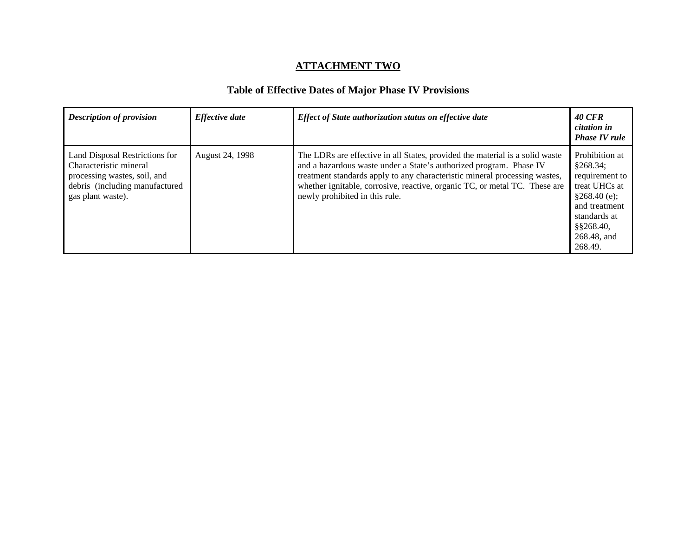| <b>Description of provision</b>                                                                                                                 | <b>Effective date</b> | Effect of State authorization status on effective date                                                                                                                                                                                                                                                                                           | <b>40 CFR</b><br>citation in<br><b>Phase IV rule</b>                                                                                                     |
|-------------------------------------------------------------------------------------------------------------------------------------------------|-----------------------|--------------------------------------------------------------------------------------------------------------------------------------------------------------------------------------------------------------------------------------------------------------------------------------------------------------------------------------------------|----------------------------------------------------------------------------------------------------------------------------------------------------------|
| Land Disposal Restrictions for<br>Characteristic mineral<br>processing wastes, soil, and<br>debris (including manufactured<br>gas plant waste). | August 24, 1998       | The LDRs are effective in all States, provided the material is a solid waste<br>and a hazardous waste under a State's authorized program. Phase IV<br>treatment standards apply to any characteristic mineral processing wastes,<br>whether ignitable, corrosive, reactive, organic TC, or metal TC. These are<br>newly prohibited in this rule. | Prohibition at<br>§268.34;<br>requirement to<br>treat UHCs at<br>\$268.40(e);<br>and treatment<br>standards at<br>$§$ §268.40,<br>268.48, and<br>268.49. |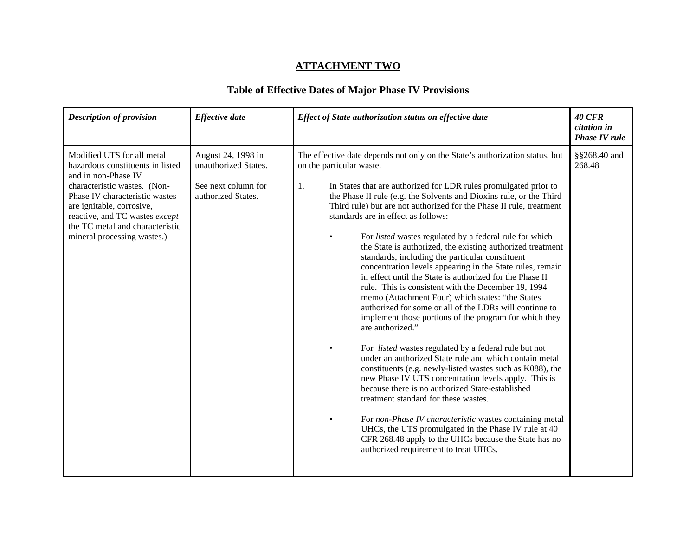| <b>Description of provision</b>                                                                                                                                                                                                                                                          | <b>Effective date</b>                                                                   | Effect of State authorization status on effective date                                                                                                                                                                                                                                                                                                                                                                                                                                                                                                                                                                                                                                                                                                                                                                                                                                                                                                                                                                                                                                                                                                                                                                                                                                                                                                                                                                                                                                                        | <b>40 CFR</b><br>citation in<br><b>Phase IV rule</b> |
|------------------------------------------------------------------------------------------------------------------------------------------------------------------------------------------------------------------------------------------------------------------------------------------|-----------------------------------------------------------------------------------------|---------------------------------------------------------------------------------------------------------------------------------------------------------------------------------------------------------------------------------------------------------------------------------------------------------------------------------------------------------------------------------------------------------------------------------------------------------------------------------------------------------------------------------------------------------------------------------------------------------------------------------------------------------------------------------------------------------------------------------------------------------------------------------------------------------------------------------------------------------------------------------------------------------------------------------------------------------------------------------------------------------------------------------------------------------------------------------------------------------------------------------------------------------------------------------------------------------------------------------------------------------------------------------------------------------------------------------------------------------------------------------------------------------------------------------------------------------------------------------------------------------------|------------------------------------------------------|
| Modified UTS for all metal<br>hazardous constituents in listed<br>and in non-Phase IV<br>characteristic wastes. (Non-<br>Phase IV characteristic wastes<br>are ignitable, corrosive,<br>reactive, and TC wastes except<br>the TC metal and characteristic<br>mineral processing wastes.) | August 24, 1998 in<br>unauthorized States.<br>See next column for<br>authorized States. | The effective date depends not only on the State's authorization status, but<br>on the particular waste.<br>In States that are authorized for LDR rules promulgated prior to<br>1.<br>the Phase II rule (e.g. the Solvents and Dioxins rule, or the Third<br>Third rule) but are not authorized for the Phase II rule, treatment<br>standards are in effect as follows:<br>For listed wastes regulated by a federal rule for which<br>the State is authorized, the existing authorized treatment<br>standards, including the particular constituent<br>concentration levels appearing in the State rules, remain<br>in effect until the State is authorized for the Phase II<br>rule. This is consistent with the December 19, 1994<br>memo (Attachment Four) which states: "the States<br>authorized for some or all of the LDRs will continue to<br>implement those portions of the program for which they<br>are authorized."<br>For <i>listed</i> wastes regulated by a federal rule but not<br>$\bullet$<br>under an authorized State rule and which contain metal<br>constituents (e.g. newly-listed wastes such as K088), the<br>new Phase IV UTS concentration levels apply. This is<br>because there is no authorized State-established<br>treatment standard for these wastes.<br>For non-Phase IV characteristic wastes containing metal<br>UHCs, the UTS promulgated in the Phase IV rule at 40<br>CFR 268.48 apply to the UHCs because the State has no<br>authorized requirement to treat UHCs. | §§268.40 and<br>268.48                               |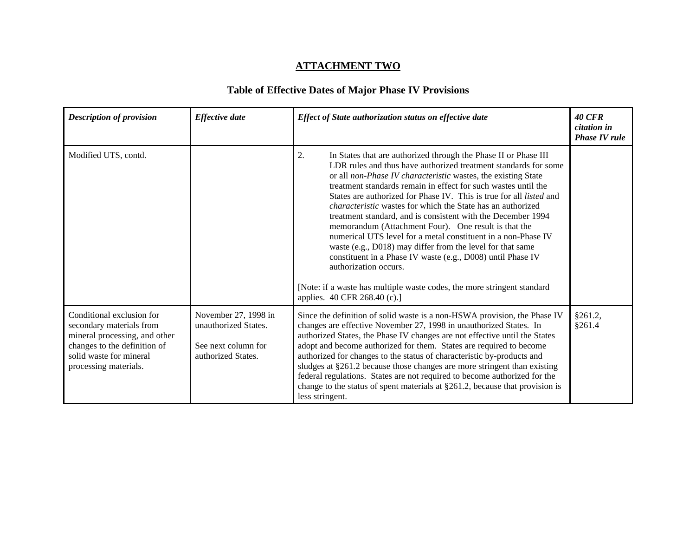| <b>Description of provision</b>                                                                                                                                            | <b>Effective date</b>                                                                     | Effect of State authorization status on effective date                                                                                                                                                                                                                                                                                                                                                                                                                                                                                                                                                                                                                                                                                                                                                                                                                                    | <b>40 CFR</b><br>citation in<br><b>Phase IV rule</b> |
|----------------------------------------------------------------------------------------------------------------------------------------------------------------------------|-------------------------------------------------------------------------------------------|-------------------------------------------------------------------------------------------------------------------------------------------------------------------------------------------------------------------------------------------------------------------------------------------------------------------------------------------------------------------------------------------------------------------------------------------------------------------------------------------------------------------------------------------------------------------------------------------------------------------------------------------------------------------------------------------------------------------------------------------------------------------------------------------------------------------------------------------------------------------------------------------|------------------------------------------------------|
| Modified UTS, contd.                                                                                                                                                       |                                                                                           | In States that are authorized through the Phase II or Phase III<br>2.<br>LDR rules and thus have authorized treatment standards for some<br>or all non-Phase IV characteristic wastes, the existing State<br>treatment standards remain in effect for such wastes until the<br>States are authorized for Phase IV. This is true for all <i>listed</i> and<br><i>characteristic</i> wastes for which the State has an authorized<br>treatment standard, and is consistent with the December 1994<br>memorandum (Attachment Four). One result is that the<br>numerical UTS level for a metal constituent in a non-Phase IV<br>waste (e.g., D018) may differ from the level for that same<br>constituent in a Phase IV waste (e.g., D008) until Phase IV<br>authorization occurs.<br>[Note: if a waste has multiple waste codes, the more stringent standard<br>applies. 40 CFR 268.40 (c).] |                                                      |
| Conditional exclusion for<br>secondary materials from<br>mineral processing, and other<br>changes to the definition of<br>solid waste for mineral<br>processing materials. | November 27, 1998 in<br>unauthorized States.<br>See next column for<br>authorized States. | Since the definition of solid waste is a non-HSWA provision, the Phase IV<br>changes are effective November 27, 1998 in unauthorized States. In<br>authorized States, the Phase IV changes are not effective until the States<br>adopt and become authorized for them. States are required to become<br>authorized for changes to the status of characteristic by-products and<br>sludges at §261.2 because those changes are more stringent than existing<br>federal regulations. States are not required to become authorized for the<br>change to the status of spent materials at $\S261.2$ , because that provision is<br>less stringent.                                                                                                                                                                                                                                            | §261.2,<br>§261.4                                    |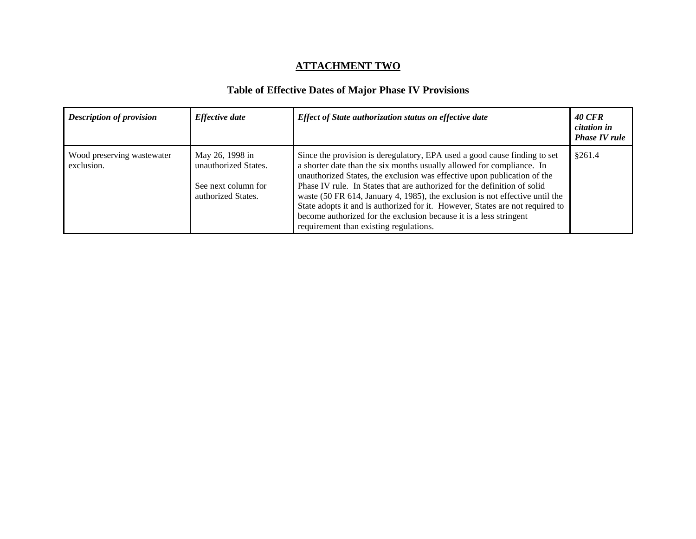| <b>Description of provision</b>          | <b>Effective date</b>                                                                | Effect of State authorization status on effective date                                                                                                                                                                                                                                                                                                                                                                                                                                                                                                                                      | <b>40 CFR</b><br>citation in<br><b>Phase IV rule</b> |
|------------------------------------------|--------------------------------------------------------------------------------------|---------------------------------------------------------------------------------------------------------------------------------------------------------------------------------------------------------------------------------------------------------------------------------------------------------------------------------------------------------------------------------------------------------------------------------------------------------------------------------------------------------------------------------------------------------------------------------------------|------------------------------------------------------|
| Wood preserving wastewater<br>exclusion. | May 26, 1998 in<br>unauthorized States.<br>See next column for<br>authorized States. | Since the provision is deregulatory, EPA used a good cause finding to set<br>a shorter date than the six months usually allowed for compliance. In<br>unauthorized States, the exclusion was effective upon publication of the<br>Phase IV rule. In States that are authorized for the definition of solid<br>waste (50 FR 614, January 4, 1985), the exclusion is not effective until the<br>State adopts it and is authorized for it. However, States are not required to<br>become authorized for the exclusion because it is a less stringent<br>requirement than existing regulations. | \$261.4                                              |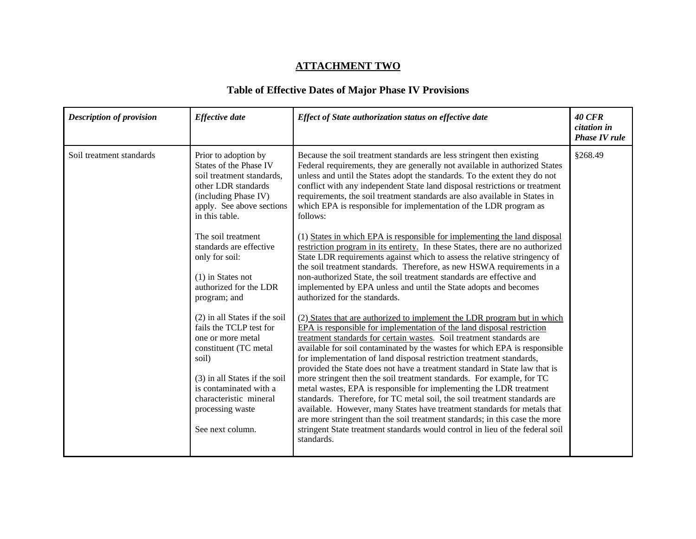| <b>Description of provision</b> | <b>Effective</b> date                                                                                                                                                                                                                        | Effect of State authorization status on effective date                                                                                                                                                                                                                                                                                                                                                                                                                                                                                                                                                                                                                                                                                                                                                                                                                                                                                                | <b>40 CFR</b><br>citation in<br><b>Phase IV rule</b> |
|---------------------------------|----------------------------------------------------------------------------------------------------------------------------------------------------------------------------------------------------------------------------------------------|-------------------------------------------------------------------------------------------------------------------------------------------------------------------------------------------------------------------------------------------------------------------------------------------------------------------------------------------------------------------------------------------------------------------------------------------------------------------------------------------------------------------------------------------------------------------------------------------------------------------------------------------------------------------------------------------------------------------------------------------------------------------------------------------------------------------------------------------------------------------------------------------------------------------------------------------------------|------------------------------------------------------|
| Soil treatment standards        | Prior to adoption by<br>States of the Phase IV<br>soil treatment standards.<br>other LDR standards<br>(including Phase IV)<br>apply. See above sections<br>in this table.                                                                    | Because the soil treatment standards are less stringent then existing<br>Federal requirements, they are generally not available in authorized States<br>unless and until the States adopt the standards. To the extent they do not<br>conflict with any independent State land disposal restrictions or treatment<br>requirements, the soil treatment standards are also available in States in<br>which EPA is responsible for implementation of the LDR program as<br>follows:                                                                                                                                                                                                                                                                                                                                                                                                                                                                      | §268.49                                              |
|                                 | The soil treatment<br>standards are effective<br>only for soil:<br>$(1)$ in States not<br>authorized for the LDR<br>program; and                                                                                                             | (1) States in which EPA is responsible for implementing the land disposal<br>restriction program in its entirety. In these States, there are no authorized<br>State LDR requirements against which to assess the relative stringency of<br>the soil treatment standards. Therefore, as new HSWA requirements in a<br>non-authorized State, the soil treatment standards are effective and<br>implemented by EPA unless and until the State adopts and becomes<br>authorized for the standards.                                                                                                                                                                                                                                                                                                                                                                                                                                                        |                                                      |
|                                 | (2) in all States if the soil<br>fails the TCLP test for<br>one or more metal<br>constituent (TC metal<br>soil)<br>(3) in all States if the soil<br>is contaminated with a<br>characteristic mineral<br>processing waste<br>See next column. | (2) States that are authorized to implement the LDR program but in which<br>EPA is responsible for implementation of the land disposal restriction<br>treatment standards for certain wastes. Soil treatment standards are<br>available for soil contaminated by the wastes for which EPA is responsible<br>for implementation of land disposal restriction treatment standards,<br>provided the State does not have a treatment standard in State law that is<br>more stringent then the soil treatment standards. For example, for TC<br>metal wastes, EPA is responsible for implementing the LDR treatment<br>standards. Therefore, for TC metal soil, the soil treatment standards are<br>available. However, many States have treatment standards for metals that<br>are more stringent than the soil treatment standards; in this case the more<br>stringent State treatment standards would control in lieu of the federal soil<br>standards. |                                                      |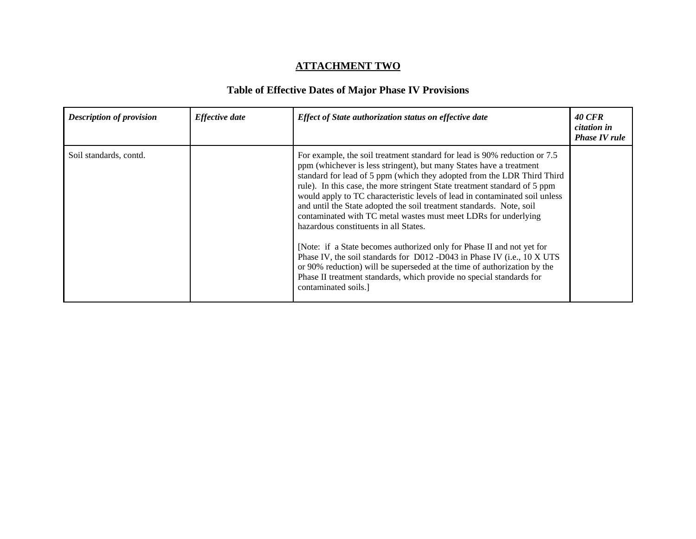| <b>Description of provision</b> | <b>Effective</b> date | Effect of State authorization status on effective date                                                                                                                                                                                                                                                                                                                                                                                                                                                                                                                                                                                                                                                                                                                                                                                                                                                      | <b>40 CFR</b><br><i>citation in</i><br><b>Phase IV rule</b> |
|---------------------------------|-----------------------|-------------------------------------------------------------------------------------------------------------------------------------------------------------------------------------------------------------------------------------------------------------------------------------------------------------------------------------------------------------------------------------------------------------------------------------------------------------------------------------------------------------------------------------------------------------------------------------------------------------------------------------------------------------------------------------------------------------------------------------------------------------------------------------------------------------------------------------------------------------------------------------------------------------|-------------------------------------------------------------|
| Soil standards, contd.          |                       | For example, the soil treatment standard for lead is 90% reduction or 7.5<br>ppm (whichever is less stringent), but many States have a treatment<br>standard for lead of 5 ppm (which they adopted from the LDR Third Third<br>rule). In this case, the more stringent State treatment standard of 5 ppm<br>would apply to TC characteristic levels of lead in contaminated soil unless<br>and until the State adopted the soil treatment standards. Note, soil<br>contaminated with TC metal wastes must meet LDRs for underlying<br>hazardous constituents in all States.<br>[Note: if a State becomes authorized only for Phase II and not yet for<br>Phase IV, the soil standards for D012 -D043 in Phase IV (i.e., 10 X UTS<br>or 90% reduction) will be superseded at the time of authorization by the<br>Phase II treatment standards, which provide no special standards for<br>contaminated soils. |                                                             |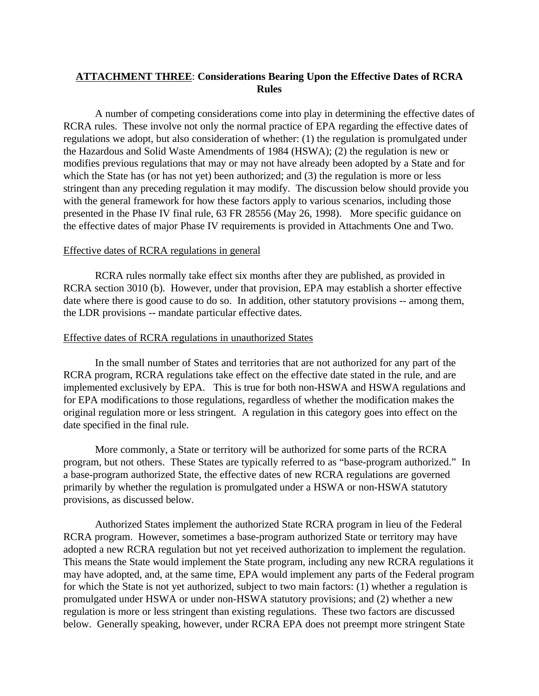### **ATTACHMENT THREE**: **Considerations Bearing Upon the Effective Dates of RCRA Rules**

A number of competing considerations come into play in determining the effective dates of RCRA rules. These involve not only the normal practice of EPA regarding the effective dates of regulations we adopt, but also consideration of whether: (1) the regulation is promulgated under the Hazardous and Solid Waste Amendments of 1984 (HSWA); (2) the regulation is new or modifies previous regulations that may or may not have already been adopted by a State and for which the State has (or has not yet) been authorized; and (3) the regulation is more or less stringent than any preceding regulation it may modify. The discussion below should provide you with the general framework for how these factors apply to various scenarios, including those presented in the Phase IV final rule, 63 FR 28556 (May 26, 1998). More specific guidance on the effective dates of major Phase IV requirements is provided in Attachments One and Two.

#### Effective dates of RCRA regulations in general

RCRA rules normally take effect six months after they are published, as provided in RCRA section 3010 (b). However, under that provision, EPA may establish a shorter effective date where there is good cause to do so. In addition, other statutory provisions -- among them, the LDR provisions -- mandate particular effective dates.

#### Effective dates of RCRA regulations in unauthorized States

In the small number of States and territories that are not authorized for any part of the RCRA program, RCRA regulations take effect on the effective date stated in the rule, and are implemented exclusively by EPA. This is true for both non-HSWA and HSWA regulations and for EPA modifications to those regulations, regardless of whether the modification makes the original regulation more or less stringent. A regulation in this category goes into effect on the date specified in the final rule.

More commonly, a State or territory will be authorized for some parts of the RCRA program, but not others. These States are typically referred to as "base-program authorized." In a base-program authorized State, the effective dates of new RCRA regulations are governed primarily by whether the regulation is promulgated under a HSWA or non-HSWA statutory provisions, as discussed below.

Authorized States implement the authorized State RCRA program in lieu of the Federal RCRA program. However, sometimes a base-program authorized State or territory may have adopted a new RCRA regulation but not yet received authorization to implement the regulation. This means the State would implement the State program, including any new RCRA regulations it may have adopted, and, at the same time, EPA would implement any parts of the Federal program for which the State is not yet authorized, subject to two main factors: (1) whether a regulation is promulgated under HSWA or under non-HSWA statutory provisions; and (2) whether a new regulation is more or less stringent than existing regulations. These two factors are discussed below. Generally speaking, however, under RCRA EPA does not preempt more stringent State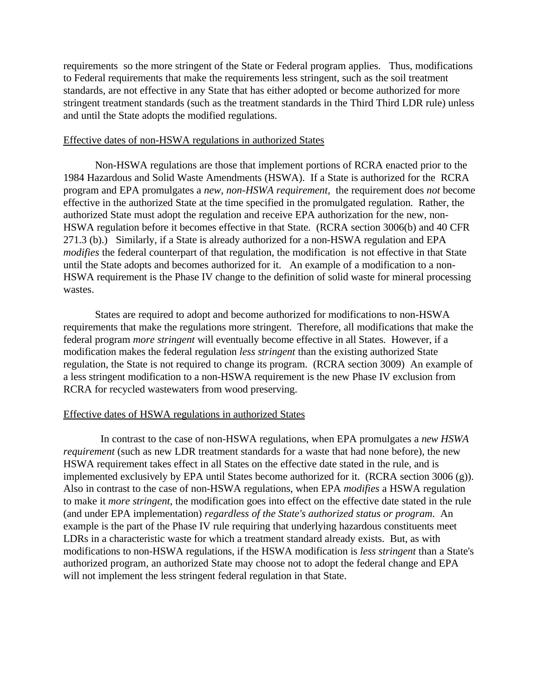requirements so the more stringent of the State or Federal program applies. Thus, modifications to Federal requirements that make the requirements less stringent, such as the soil treatment standards, are not effective in any State that has either adopted or become authorized for more stringent treatment standards (such as the treatment standards in the Third Third LDR rule) unless and until the State adopts the modified regulations.

#### Effective dates of non-HSWA regulations in authorized States

Non-HSWA regulations are those that implement portions of RCRA enacted prior to the 1984 Hazardous and Solid Waste Amendments (HSWA). If a State is authorized for the RCRA program and EPA promulgates a *new, non-HSWA requirement,* the requirement does *not* become effective in the authorized State at the time specified in the promulgated regulation. Rather, the authorized State must adopt the regulation and receive EPA authorization for the new, non-HSWA regulation before it becomes effective in that State. (RCRA section 3006(b) and 40 CFR 271.3 (b).) Similarly, if a State is already authorized for a non-HSWA regulation and EPA *modifies* the federal counterpart of that regulation, the modification is not effective in that State until the State adopts and becomes authorized for it. An example of a modification to a non-HSWA requirement is the Phase IV change to the definition of solid waste for mineral processing wastes.

States are required to adopt and become authorized for modifications to non-HSWA requirements that make the regulations more stringent. Therefore, all modifications that make the federal program *more stringent* will eventually become effective in all States. However, if a modification makes the federal regulation *less stringent* than the existing authorized State regulation, the State is not required to change its program. (RCRA section 3009) An example of a less stringent modification to a non-HSWA requirement is the new Phase IV exclusion from RCRA for recycled wastewaters from wood preserving.

#### Effective dates of HSWA regulations in authorized States

 In contrast to the case of non-HSWA regulations, when EPA promulgates a *new HSWA requirement* (such as new LDR treatment standards for a waste that had none before), the new HSWA requirement takes effect in all States on the effective date stated in the rule, and is implemented exclusively by EPA until States become authorized for it. (RCRA section 3006 (g)). Also in contrast to the case of non-HSWA regulations, when EPA *modifies* a HSWA regulation to make it *more stringent*, the modification goes into effect on the effective date stated in the rule (and under EPA implementation) *regardless of the State's authorized status or program*. An example is the part of the Phase IV rule requiring that underlying hazardous constituents meet LDRs in a characteristic waste for which a treatment standard already exists. But, as with modifications to non-HSWA regulations, if the HSWA modification is *less stringent* than a State's authorized program, an authorized State may choose not to adopt the federal change and EPA will not implement the less stringent federal regulation in that State.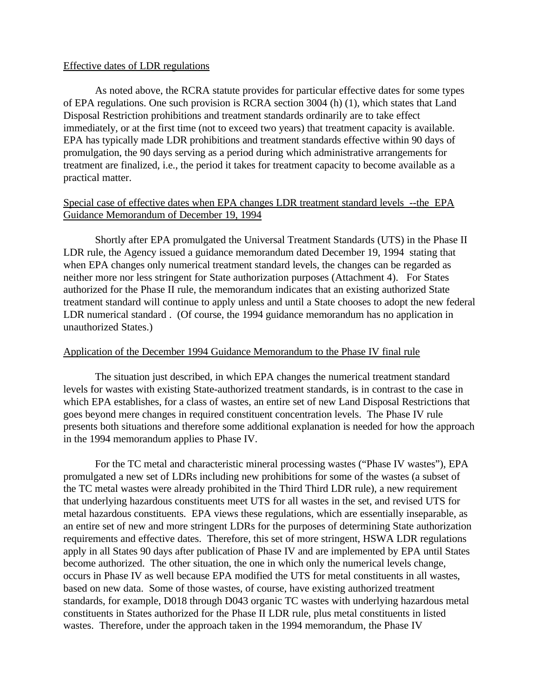#### Effective dates of LDR regulations

As noted above, the RCRA statute provides for particular effective dates for some types of EPA regulations. One such provision is RCRA section 3004 (h) (1), which states that Land Disposal Restriction prohibitions and treatment standards ordinarily are to take effect immediately, or at the first time (not to exceed two years) that treatment capacity is available. EPA has typically made LDR prohibitions and treatment standards effective within 90 days of promulgation, the 90 days serving as a period during which administrative arrangements for treatment are finalized, i.e., the period it takes for treatment capacity to become available as a practical matter.

### Special case of effective dates when EPA changes LDR treatment standard levels --the EPA Guidance Memorandum of December 19, 1994

Shortly after EPA promulgated the Universal Treatment Standards (UTS) in the Phase II LDR rule, the Agency issued a guidance memorandum dated December 19, 1994 stating that when EPA changes only numerical treatment standard levels, the changes can be regarded as neither more nor less stringent for State authorization purposes (Attachment 4). For States authorized for the Phase II rule, the memorandum indicates that an existing authorized State treatment standard will continue to apply unless and until a State chooses to adopt the new federal LDR numerical standard . (Of course, the 1994 guidance memorandum has no application in unauthorized States.)

#### Application of the December 1994 Guidance Memorandum to the Phase IV final rule

The situation just described, in which EPA changes the numerical treatment standard levels for wastes with existing State-authorized treatment standards, is in contrast to the case in which EPA establishes, for a class of wastes, an entire set of new Land Disposal Restrictions that goes beyond mere changes in required constituent concentration levels. The Phase IV rule presents both situations and therefore some additional explanation is needed for how the approach in the 1994 memorandum applies to Phase IV.

For the TC metal and characteristic mineral processing wastes ("Phase IV wastes"), EPA promulgated a new set of LDRs including new prohibitions for some of the wastes (a subset of the TC metal wastes were already prohibited in the Third Third LDR rule), a new requirement that underlying hazardous constituents meet UTS for all wastes in the set, and revised UTS for metal hazardous constituents. EPA views these regulations, which are essentially inseparable, as an entire set of new and more stringent LDRs for the purposes of determining State authorization requirements and effective dates. Therefore, this set of more stringent, HSWA LDR regulations apply in all States 90 days after publication of Phase IV and are implemented by EPA until States become authorized. The other situation, the one in which only the numerical levels change, occurs in Phase IV as well because EPA modified the UTS for metal constituents in all wastes, based on new data. Some of those wastes, of course, have existing authorized treatment standards, for example, D018 through D043 organic TC wastes with underlying hazardous metal constituents in States authorized for the Phase II LDR rule, plus metal constituents in listed wastes. Therefore, under the approach taken in the 1994 memorandum, the Phase IV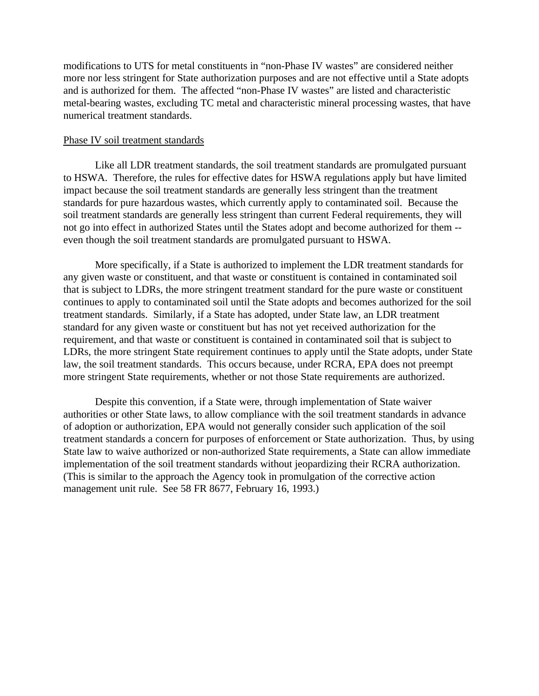modifications to UTS for metal constituents in "non-Phase IV wastes" are considered neither more nor less stringent for State authorization purposes and are not effective until a State adopts and is authorized for them. The affected "non-Phase IV wastes" are listed and characteristic metal-bearing wastes, excluding TC metal and characteristic mineral processing wastes, that have numerical treatment standards.

#### Phase IV soil treatment standards

Like all LDR treatment standards, the soil treatment standards are promulgated pursuant to HSWA. Therefore, the rules for effective dates for HSWA regulations apply but have limited impact because the soil treatment standards are generally less stringent than the treatment standards for pure hazardous wastes, which currently apply to contaminated soil. Because the soil treatment standards are generally less stringent than current Federal requirements, they will not go into effect in authorized States until the States adopt and become authorized for them - even though the soil treatment standards are promulgated pursuant to HSWA.

More specifically, if a State is authorized to implement the LDR treatment standards for any given waste or constituent, and that waste or constituent is contained in contaminated soil that is subject to LDRs, the more stringent treatment standard for the pure waste or constituent continues to apply to contaminated soil until the State adopts and becomes authorized for the soil treatment standards. Similarly, if a State has adopted, under State law, an LDR treatment standard for any given waste or constituent but has not yet received authorization for the requirement, and that waste or constituent is contained in contaminated soil that is subject to LDRs, the more stringent State requirement continues to apply until the State adopts, under State law, the soil treatment standards. This occurs because, under RCRA, EPA does not preempt more stringent State requirements, whether or not those State requirements are authorized.

Despite this convention, if a State were, through implementation of State waiver authorities or other State laws, to allow compliance with the soil treatment standards in advance of adoption or authorization, EPA would not generally consider such application of the soil treatment standards a concern for purposes of enforcement or State authorization. Thus, by using State law to waive authorized or non-authorized State requirements, a State can allow immediate implementation of the soil treatment standards without jeopardizing their RCRA authorization. (This is similar to the approach the Agency took in promulgation of the corrective action management unit rule. See 58 FR 8677, February 16, 1993.)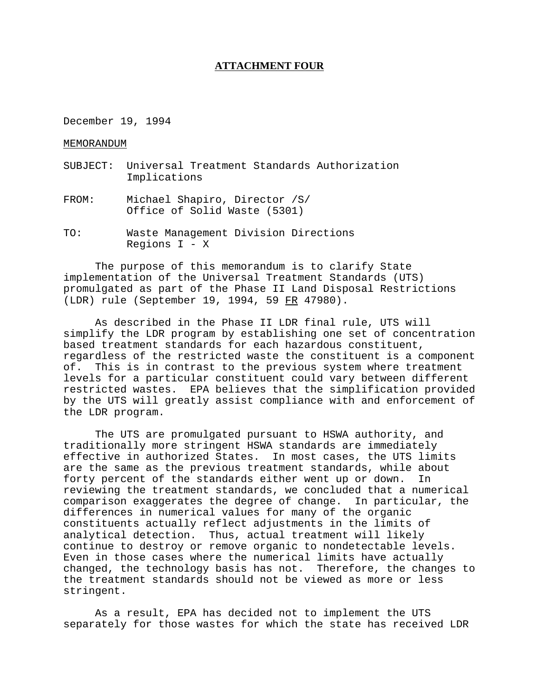#### **ATTACHMENT FOUR**

December 19, 1994

MEMORANDUM

- SUBJECT: Universal Treatment Standards Authorization Implications
- FROM: Michael Shapiro, Director /S/ Office of Solid Waste (5301)
- TO: Waste Management Division Directions Regions  $I - X$

The purpose of this memorandum is to clarify State implementation of the Universal Treatment Standards (UTS) promulgated as part of the Phase II Land Disposal Restrictions (LDR) rule (September 19, 1994, 59 FR 47980).

 As described in the Phase II LDR final rule, UTS will simplify the LDR program by establishing one set of concentration based treatment standards for each hazardous constituent, regardless of the restricted waste the constituent is a component of. This is in contrast to the previous system where treatment levels for a particular constituent could vary between different restricted wastes. EPA believes that the simplification provided by the UTS will greatly assist compliance with and enforcement of the LDR program.

The UTS are promulgated pursuant to HSWA authority, and traditionally more stringent HSWA standards are immediately effective in authorized States. In most cases, the UTS limits are the same as the previous treatment standards, while about forty percent of the standards either went up or down. In reviewing the treatment standards, we concluded that a numerical comparison exaggerates the degree of change. In particular, the differences in numerical values for many of the organic constituents actually reflect adjustments in the limits of analytical detection. Thus, actual treatment will likely continue to destroy or remove organic to nondetectable levels. Even in those cases where the numerical limits have actually changed, the technology basis has not. Therefore, the changes to the treatment standards should not be viewed as more or less stringent.

As a result, EPA has decided not to implement the UTS separately for those wastes for which the state has received LDR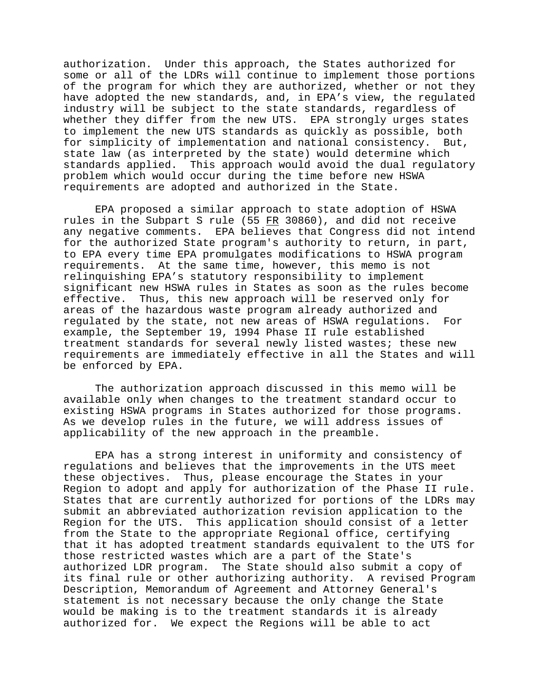authorization. Under this approach, the States authorized for some or all of the LDRs will continue to implement those portions of the program for which they are authorized, whether or not they have adopted the new standards, and, in EPA's view, the regulated industry will be subject to the state standards, regardless of whether they differ from the new UTS. EPA strongly urges states to implement the new UTS standards as quickly as possible, both for simplicity of implementation and national consistency. But, state law (as interpreted by the state) would determine which standards applied. This approach would avoid the dual regulatory problem which would occur during the time before new HSWA requirements are adopted and authorized in the State.

EPA proposed a similar approach to state adoption of HSWA rules in the Subpart S rule (55  $FR$  30860), and did not receive any negative comments. EPA believes that Congress did not intend for the authorized State program's authority to return, in part, to EPA every time EPA promulgates modifications to HSWA program requirements. At the same time, however, this memo is not relinquishing EPA's statutory responsibility to implement significant new HSWA rules in States as soon as the rules become effective. Thus, this new approach will be reserved only for areas of the hazardous waste program already authorized and regulated by the state, not new areas of HSWA regulations. For example, the September 19, 1994 Phase II rule established treatment standards for several newly listed wastes; these new requirements are immediately effective in all the States and will be enforced by EPA.

The authorization approach discussed in this memo will be available only when changes to the treatment standard occur to existing HSWA programs in States authorized for those programs. As we develop rules in the future, we will address issues of applicability of the new approach in the preamble.

EPA has a strong interest in uniformity and consistency of regulations and believes that the improvements in the UTS meet these objectives. Thus, please encourage the States in your Region to adopt and apply for authorization of the Phase II rule. States that are currently authorized for portions of the LDRs may submit an abbreviated authorization revision application to the Region for the UTS. This application should consist of a letter from the State to the appropriate Regional office, certifying that it has adopted treatment standards equivalent to the UTS for those restricted wastes which are a part of the State's authorized LDR program. The State should also submit a copy of its final rule or other authorizing authority. A revised Program Description, Memorandum of Agreement and Attorney General's statement is not necessary because the only change the State would be making is to the treatment standards it is already authorized for. We expect the Regions will be able to act